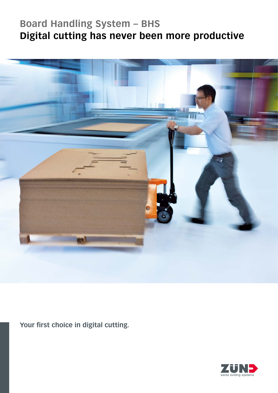# **Board Handling System – BHS Digital cutting has never been more productive**



**Your first choice in digital cutting.**

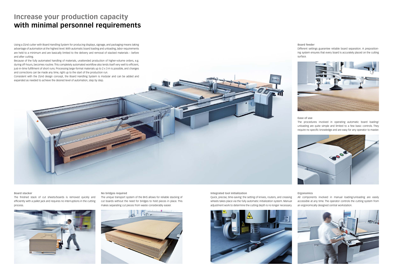#### **Board stacker**

The finished stack of cut sheets/boards is removed quickly and efficiently with a pallet jack and requires no interruptions in the cutting process.



**No bridges required** 

The unique transport system of the BHS allows for reliable stacking of cut boards without the need for bridges to hold pieces in place. This makes separating cut pieces from waste considerably easier.



### **Increase your production capacity with minimal personnel requirements**

Using a Zünd cutter with Board Handling System for producing displays, signage, and packaging means taking advantage of automation at the highest level. With automatic board loading and unloading, labor requirements are held to a minimum and are basically limited to the delivery and removal of stacked materials – before and after cutting.

Because of the fully automated handling of materials, unattended production of higher-volume orders, e.g. during off-hours, becomes routine. This completely automated workflow also lends itself very well to efficient, just-in-time fulfillment of short runs. Processing large-format materials up to 2 x 3 m is possible, and changes and corrections can be made any time, right up to the start of the production run.

Consistent with the Zünd design concept, the Board Handling System is modular and can be added and expanded as needed to achieve the desired level of automation, step by step.

### **Board feeder**

Different settings guarantee reliable board separation. A prepositioning system ensures that every board is accurately placed on the cutting surface.



#### **Ease of use**

The procedures involved in operating automatic board loading/ unloading are quite simple and limited to a few basic controls. They require no specific knowledge and are easy for any operator to master.



#### **Ergonomics**

All components involved in manual loading/unloading are easily accessible at any time. The operator controls the cutting system from an ergonomically designed central workstation.



**Integrated tool initialization**

Quick, precise, time-saving: the setting of knives, routers, and creasing wheels takes place via the fully automatic initialization system. Manual adjustment work to determine the cutting depth is no longer necessary.